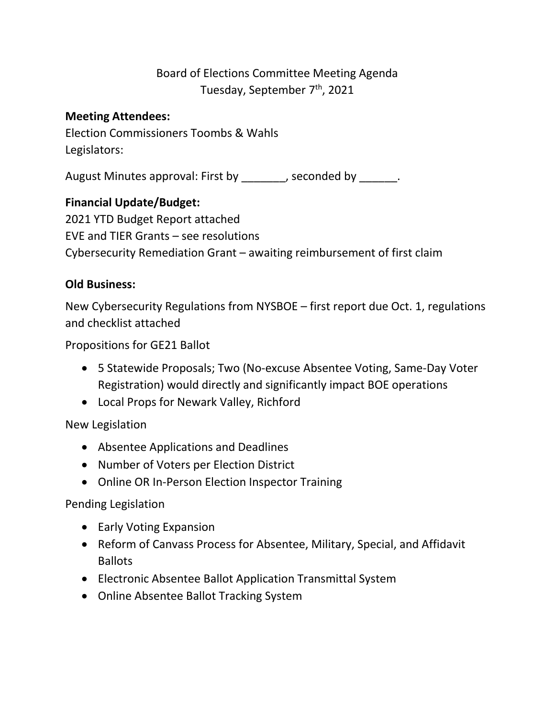# Board of Elections Committee Meeting Agenda Tuesday, September 7<sup>th</sup>, 2021

### **Meeting Attendees:**

Election Commissioners Toombs & Wahls Legislators:

August Minutes approval: First by \_\_\_\_\_\_\_, seconded by \_\_\_\_\_\_.

# **Financial Update/Budget:**

2021 YTD Budget Report attached EVE and TIER Grants – see resolutions Cybersecurity Remediation Grant – awaiting reimbursement of first claim

## **Old Business:**

New Cybersecurity Regulations from NYSBOE – first report due Oct. 1, regulations and checklist attached

Propositions for GE21 Ballot

- 5 Statewide Proposals; Two (No-excuse Absentee Voting, Same-Day Voter Registration) would directly and significantly impact BOE operations
- Local Props for Newark Valley, Richford

#### New Legislation

- Absentee Applications and Deadlines
- Number of Voters per Election District
- Online OR In-Person Election Inspector Training

#### Pending Legislation

- Early Voting Expansion
- Reform of Canvass Process for Absentee, Military, Special, and Affidavit Ballots
- Electronic Absentee Ballot Application Transmittal System
- Online Absentee Ballot Tracking System